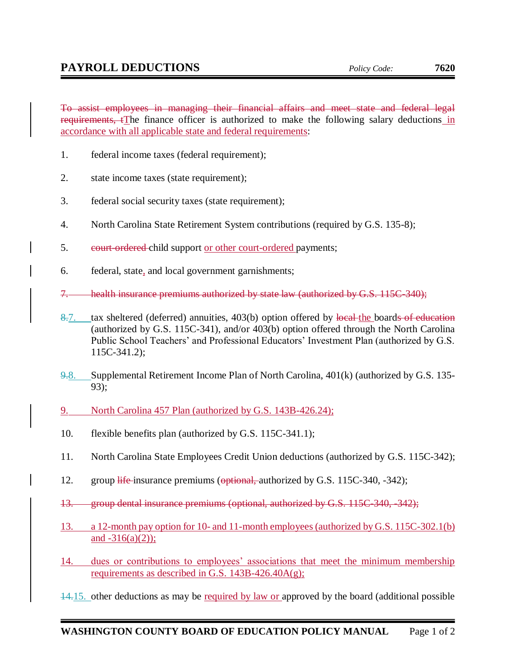To assist employees in managing their financial affairs and meet state and federal legal requirements, tThe finance officer is authorized to make the following salary deductions in accordance with all applicable state and federal requirements:

- 1. federal income taxes (federal requirement);
- 2. state income taxes (state requirement);
- 3. federal social security taxes (state requirement);
- 4. North Carolina State Retirement System contributions (required by G.S. 135-8);
- 5. eourt-ordered child support or other court-ordered payments;
- 6. federal, state, and local government garnishments;
- 7. health insurance premiums authorized by state law (authorized by G.S. 115C-340);
- 8.7. tax sheltered (deferred) annuities, 403(b) option offered by local-the boards of education (authorized by G.S. 115C-341), and/or 403(b) option offered through the North Carolina Public School Teachers' and Professional Educators' Investment Plan (authorized by G.S. 115C-341.2);
- 9.8. Supplemental Retirement Income Plan of North Carolina, 401(k) (authorized by G.S. 135- 93);
- 9. North Carolina 457 Plan (authorized by G.S. 143B-426.24);
- 10. flexible benefits plan (authorized by G.S. 115C-341.1);
- 11. North Carolina State Employees Credit Union deductions (authorized by G.S. 115C-342);
- 12. group life-insurance premiums (optional, authorized by G.S. 115C-340, -342);
- 13. group dental insurance premiums (optional, authorized by G.S. 115C-340, -342);
- 13. a 12-month pay option for 10- and 11-month employees (authorized by G.S. 115C-302.1(b) and  $-316(a)(2)$ ;
- 14. dues or contributions to employees' associations that meet the minimum membership requirements as described in G.S.  $143B-426.40A(g)$ ;
- 14.15. other deductions as may be required by law or approved by the board (additional possible